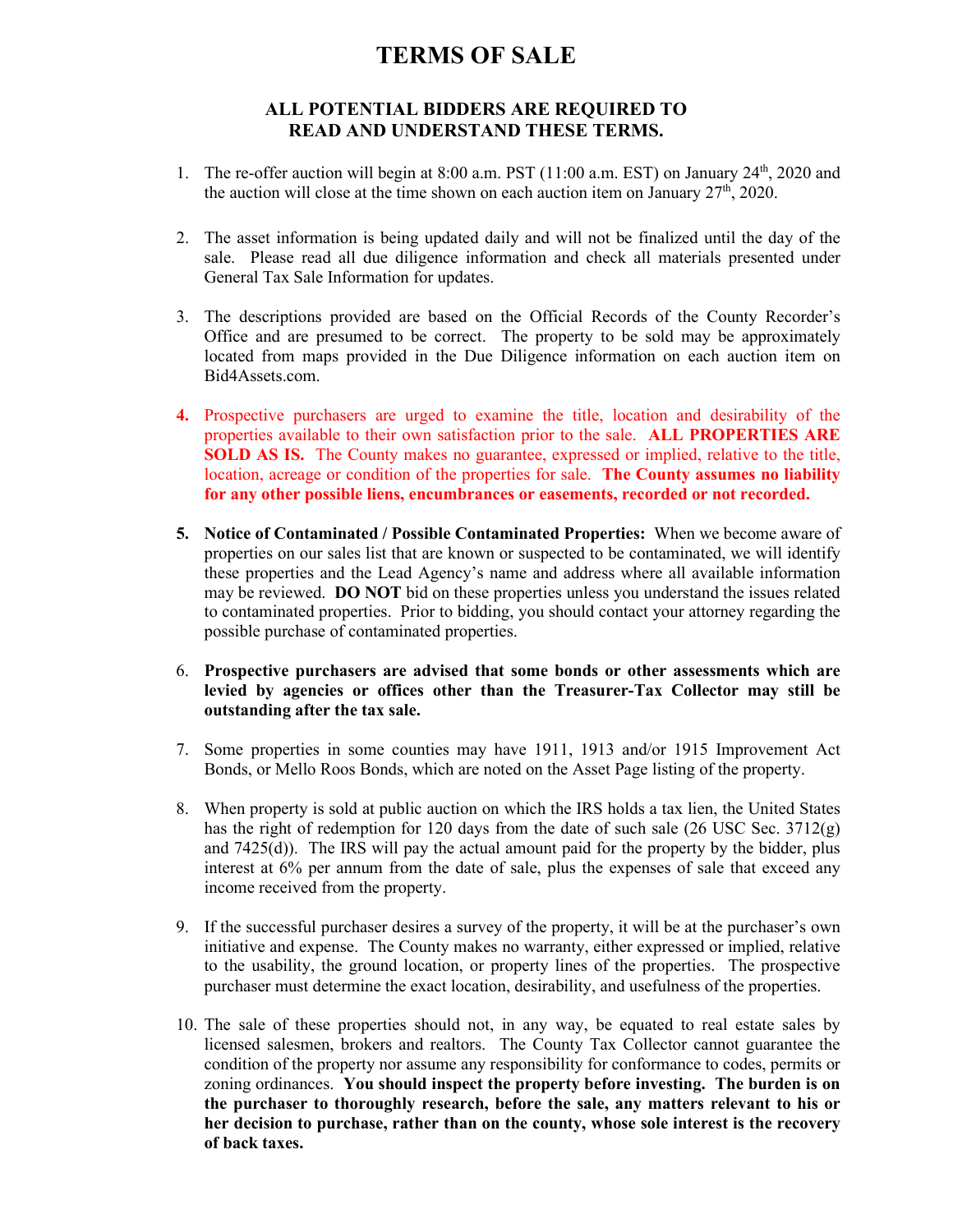## **TERMS OF SALE**

## **ALL POTENTIAL BIDDERS ARE REQUIRED TO READ AND UNDERSTAND THESE TERMS.**

- 1. The re-offer auction will begin at 8:00 a.m. PST (11:00 a.m. EST) on January 24<sup>th</sup>, 2020 and the auction will close at the time shown on each auction item on January  $27<sup>th</sup>$ , 2020.
- 2. The asset information is being updated daily and will not be finalized until the day of the sale. Please read all due diligence information and check all materials presented under General Tax Sale Information for updates.
- 3. The descriptions provided are based on the Official Records of the County Recorder's Office and are presumed to be correct. The property to be sold may be approximately located from maps provided in the Due Diligence information on each auction item on Bid4Assets.com.
- **4.** Prospective purchasers are urged to examine the title, location and desirability of the properties available to their own satisfaction prior to the sale. **ALL PROPERTIES ARE SOLD AS IS.** The County makes no guarantee, expressed or implied, relative to the title, location, acreage or condition of the properties for sale. **The County assumes no liability for any other possible liens, encumbrances or easements, recorded or not recorded.**
- **5. Notice of Contaminated / Possible Contaminated Properties:** When we become aware of properties on our sales list that are known or suspected to be contaminated, we will identify these properties and the Lead Agency's name and address where all available information may be reviewed. **DO NOT** bid on these properties unless you understand the issues related to contaminated properties. Prior to bidding, you should contact your attorney regarding the possible purchase of contaminated properties.
- 6. **Prospective purchasers are advised that some bonds or other assessments which are levied by agencies or offices other than the Treasurer-Tax Collector may still be outstanding after the tax sale.**
- 7. Some properties in some counties may have 1911, 1913 and/or 1915 Improvement Act Bonds, or Mello Roos Bonds, which are noted on the Asset Page listing of the property.
- 8. When property is sold at public auction on which the IRS holds a tax lien, the United States has the right of redemption for 120 days from the date of such sale (26 USC Sec. 3712(g) and 7425(d)). The IRS will pay the actual amount paid for the property by the bidder, plus interest at 6% per annum from the date of sale, plus the expenses of sale that exceed any income received from the property.
- 9. If the successful purchaser desires a survey of the property, it will be at the purchaser's own initiative and expense. The County makes no warranty, either expressed or implied, relative to the usability, the ground location, or property lines of the properties. The prospective purchaser must determine the exact location, desirability, and usefulness of the properties.
- 10. The sale of these properties should not, in any way, be equated to real estate sales by licensed salesmen, brokers and realtors. The County Tax Collector cannot guarantee the condition of the property nor assume any responsibility for conformance to codes, permits or zoning ordinances. **You should inspect the property before investing. The burden is on the purchaser to thoroughly research, before the sale, any matters relevant to his or her decision to purchase, rather than on the county, whose sole interest is the recovery of back taxes.**